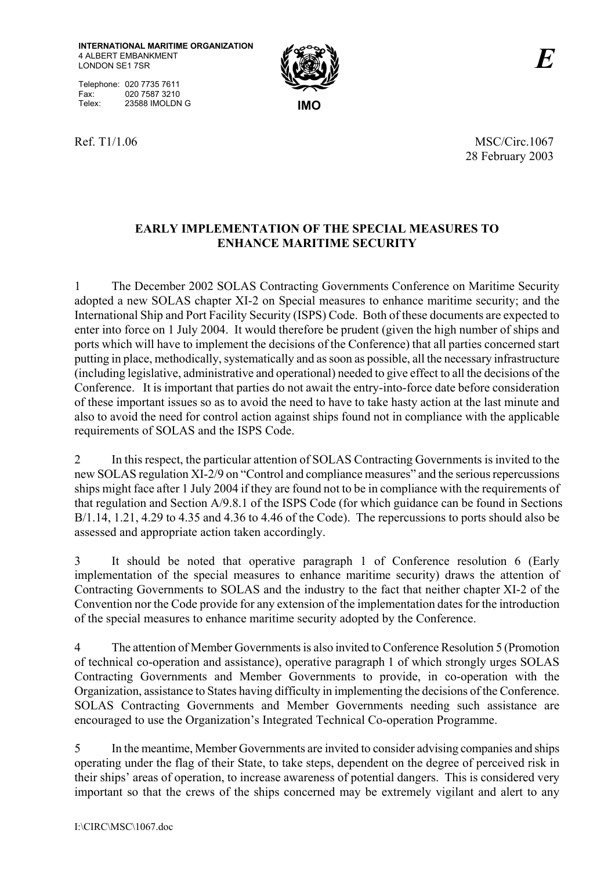Telephone: 020 7735 7611 Fax: 020 7587 3210 Telex: 23588 IMOLDN G **IMO** 



Ref. T1/1.06 MSC/Circ.1067 28 February 2003

## **EARLY IMPLEMENTATION OF THE SPECIAL MEASURES TO ENHANCE MARITIME SECURITY**

1 The December 2002 SOLAS Contracting Governments Conference on Maritime Security adopted a new SOLAS chapter XI-2 on Special measures to enhance maritime security; and the International Ship and Port Facility Security (ISPS) Code. Both of these documents are expected to enter into force on 1 July 2004. It would therefore be prudent (given the high number of ships and ports which will have to implement the decisions of the Conference) that all parties concerned start putting in place, methodically, systematically and as soon as possible, all the necessary infrastructure (including legislative, administrative and operational) needed to give effect to all the decisions of the Conference. It is important that parties do not await the entry-into-force date before consideration of these important issues so as to avoid the need to have to take hasty action at the last minute and also to avoid the need for control action against ships found not in compliance with the applicable requirements of SOLAS and the ISPS Code.

2 In this respect, the particular attention of SOLAS Contracting Governments is invited to the new SOLAS regulation XI-2/9 on "Control and compliance measures" and the serious repercussions ships might face after 1 July 2004 if they are found not to be in compliance with the requirements of that regulation and Section A/9.8.1 of the ISPS Code (for which guidance can be found in Sections B/1.14, 1.21, 4.29 to 4.35 and 4.36 to 4.46 of the Code). The repercussions to ports should also be assessed and appropriate action taken accordingly.

3 It should be noted that operative paragraph 1 of Conference resolution 6 (Early implementation of the special measures to enhance maritime security) draws the attention of Contracting Governments to SOLAS and the industry to the fact that neither chapter XI-2 of the Convention nor the Code provide for any extension of the implementation dates for the introduction of the special measures to enhance maritime security adopted by the Conference.

4 The attention of Member Governments is also invited to Conference Resolution 5 (Promotion of technical co-operation and assistance), operative paragraph 1 of which strongly urges SOLAS Contracting Governments and Member Governments to provide, in co-operation with the Organization, assistance to States having difficulty in implementing the decisions of the Conference. SOLAS Contracting Governments and Member Governments needing such assistance are encouraged to use the Organization's Integrated Technical Co-operation Programme.

5 In the meantime, Member Governments are invited to consider advising companies and ships operating under the flag of their State, to take steps, dependent on the degree of perceived risk in their ships' areas of operation, to increase awareness of potential dangers. This is considered very important so that the crews of the ships concerned may be extremely vigilant and alert to any